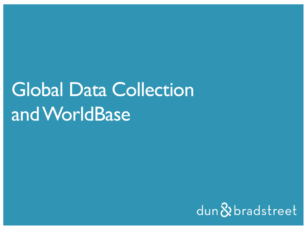# Global Data Collection and WorldBase

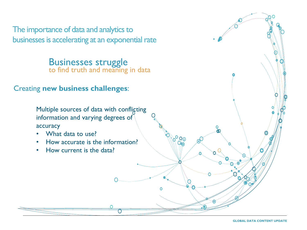The importance of data and analytics to businesses is accelerating at an exponential rate

> Businesses struggle to find truth and meaning in data

#### Creating **new business challenges**:

Multiple sources of data with conflicting information and varying degrees of accuracy

ၜၟၟၜ

- What data to use?
- How accurate is the information?
- How current is the data?

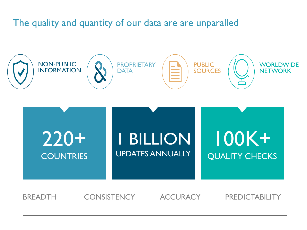#### The quality and quantity of our data are are unparalled





BREADTH CONSISTENCY ACCURACY PREDICTABILITY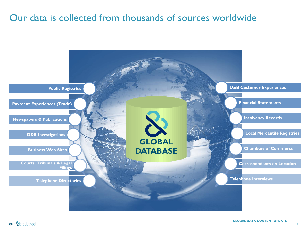#### Our data is collected from thousands of sources worldwide



 $d$ un $\&$ bradstreet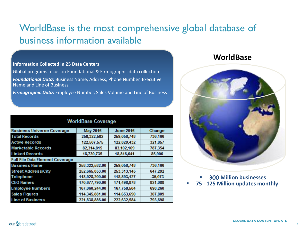### WorldBase is the most comprehensive global database of business information available

#### **Information Collected in 25 Data Centers**

Global programs focus on Foundational & Firmographic data collection *Foundational Data;* Business Name, Address, Phone Number, Executive Name and Line of Business

*Firmographic Data:* Employee Number, Sales Volume and Line of Business

| <b>WorldBase Coverage</b>              |                 |                  |           |
|----------------------------------------|-----------------|------------------|-----------|
| <b>Business Universe Coverage</b>      | <b>May 2016</b> | <b>June 2016</b> | Change    |
| <b>Total Records</b>                   | 258,322,582     | 259,058,748      | 736,166   |
| <b>Active Records</b>                  | 122,507,575     | 122,829,432      | 321,857   |
| <b>Marketable Records</b>              | 82,314,815      | 83,102,169       | 787,354   |
| <b>Linked Records</b>                  | 18,730,735      | 18,816,641       | 85,906    |
| <b>Full File Data Element Coverage</b> |                 |                  |           |
| <b>Business Name</b>                   | 258,322,582.00  | 259,058,748      | 736,166   |
| <b>Street Address/City</b>             | 252,665,853.00  | 253,313,145      | 647,292   |
| Telephone                              | 118,928,200.00  | 118,893,127      | $-35,073$ |
| <b>CEO Names</b>                       | 170,677,790.00  | 171,498,878      | 821,088   |
| <b>Employee Numbers</b>                | 167,060,244.00  | 167,758,504      | 698,260   |
| <b>Sales Figures</b>                   | 114,345,881.00  | 114,653,690      | 307,809   |
| <b>Line of Business</b>                | 221,838,886.00  | 222,632,584      | 793,698   |

#### **WorldBase**



§ 300 **Million businesses 75 - 125 Million updates monthly**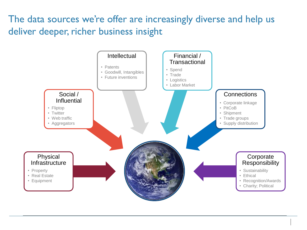## The data sources we're offer are increasingly diverse and help us deliver deeper, richer business insight

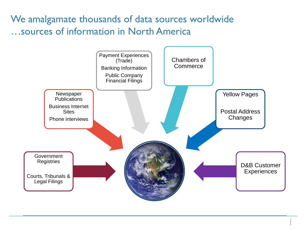We amalgamate thousands of data sources worldwide …sources of information in North America

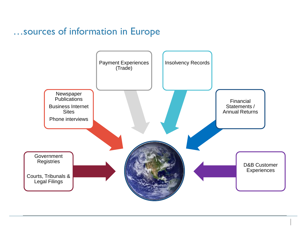#### …sources of information in Europe

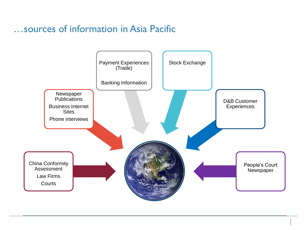#### …sources of information in Asia Pacific

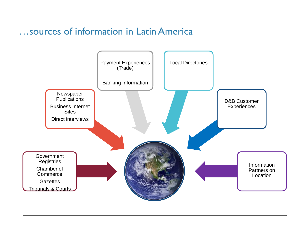#### …sources of information in Latin America

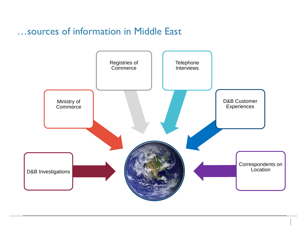#### …sources of information in Middle East

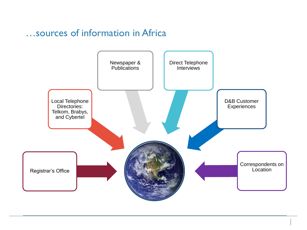#### …sources of information in Africa

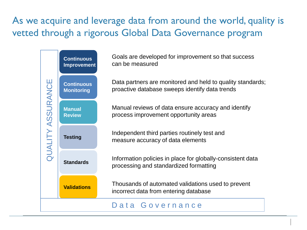## As we acquire and leverage data from around the world, quality is vetted through a rigorous Global Data Governance program